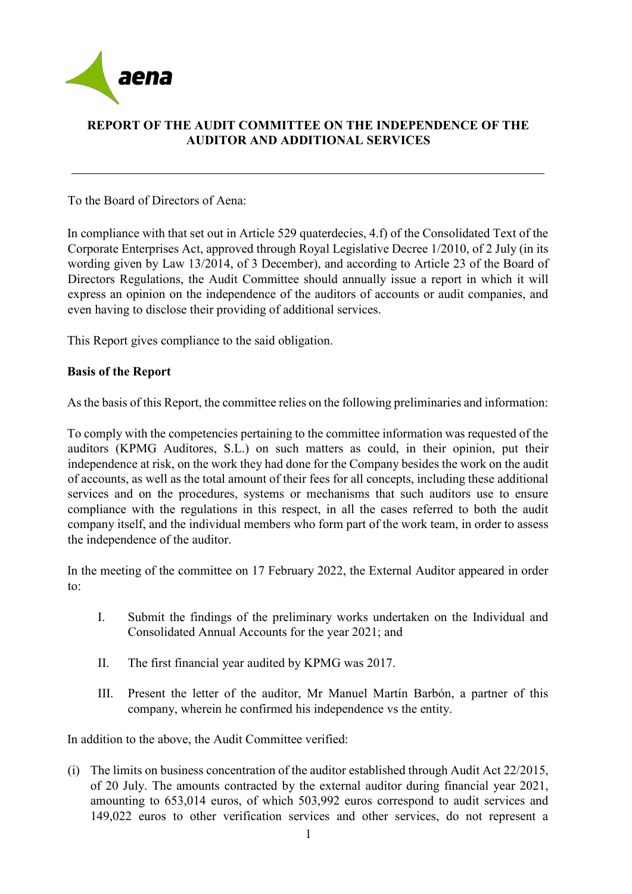

# **REPORT OF THE AUDIT COMMITTEE ON THE INDEPENDENCE OF THE AUDITOR AND ADDITIONAL SERVICES**

To the Board of Directors of Aena:

In compliance with that set out in Article 529 quaterdecies, 4.f) of the Consolidated Text of the Corporate Enterprises Act, approved through Royal Legislative Decree 1/2010, of 2 July (in its wording given by Law 13/2014, of 3 December), and according to Article 23 of the Board of Directors Regulations, the Audit Committee should annually issue a report in which it will express an opinion on the independence of the auditors of accounts or audit companies, and even having to disclose their providing of additional services.

This Report gives compliance to the said obligation.

# **Basis of the Report**

As the basis of this Report, the committee relies on the following preliminaries and information:

To comply with the competencies pertaining to the committee information was requested of the auditors (KPMG Auditores, S.L.) on such matters as could, in their opinion, put their independence at risk, on the work they had done for the Company besides the work on the audit of accounts, as well as the total amount of their fees for all concepts, including these additional services and on the procedures, systems or mechanisms that such auditors use to ensure compliance with the regulations in this respect, in all the cases referred to both the audit company itself, and the individual members who form part of the work team, in order to assess the independence of the auditor.

In the meeting of the committee on 17 February 2022, the External Auditor appeared in order to:

- I. Submit the findings of the preliminary works undertaken on the Individual and Consolidated Annual Accounts for the year 2021; and
- II. The first financial year audited by KPMG was 2017.
- III. Present the letter of the auditor, Mr Manuel Martín Barbón, a partner of this company, wherein he confirmed his independence vs the entity.

In addition to the above, the Audit Committee verified:

(i) The limits on business concentration of the auditor established through Audit Act 22/2015, of 20 July. The amounts contracted by the external auditor during financial year 2021, amounting to 653,014 euros, of which 503,992 euros correspond to audit services and 149,022 euros to other verification services and other services, do not represent a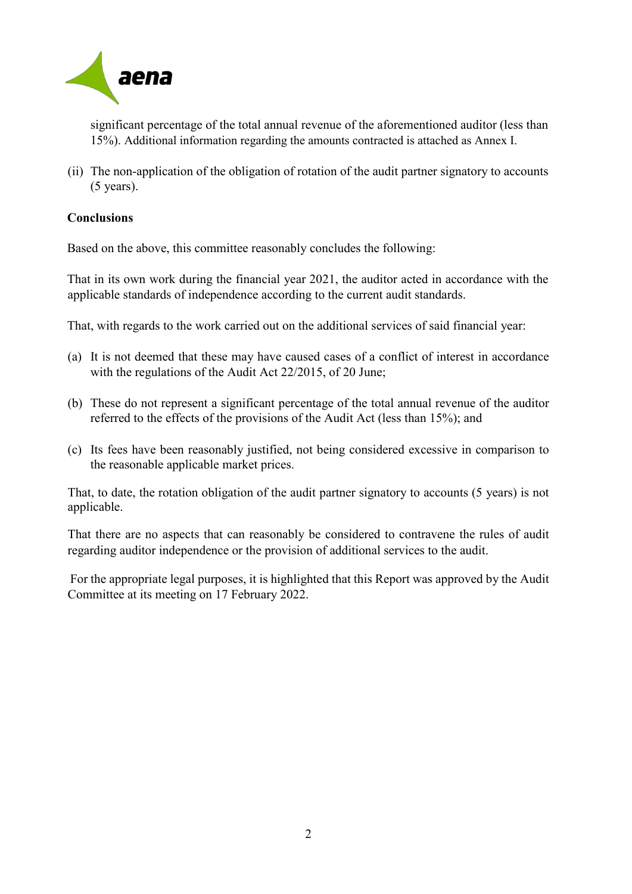

significant percentage of the total annual revenue of the aforementioned auditor (less than 15%). Additional information regarding the amounts contracted is attached as Annex I.

(ii) The non-application of the obligation of rotation of the audit partner signatory to accounts (5 years).

# **Conclusions**

Based on the above, this committee reasonably concludes the following:

That in its own work during the financial year 2021, the auditor acted in accordance with the applicable standards of independence according to the current audit standards.

That, with regards to the work carried out on the additional services of said financial year:

- (a) It is not deemed that these may have caused cases of a conflict of interest in accordance with the regulations of the Audit Act 22/2015, of 20 June;
- (b) These do not represent a significant percentage of the total annual revenue of the auditor referred to the effects of the provisions of the Audit Act (less than 15%); and
- (c) Its fees have been reasonably justified, not being considered excessive in comparison to the reasonable applicable market prices.

That, to date, the rotation obligation of the audit partner signatory to accounts (5 years) is not applicable.

That there are no aspects that can reasonably be considered to contravene the rules of audit regarding auditor independence or the provision of additional services to the audit.

For the appropriate legal purposes, it is highlighted that this Report was approved by the Audit Committee at its meeting on 17 February 2022.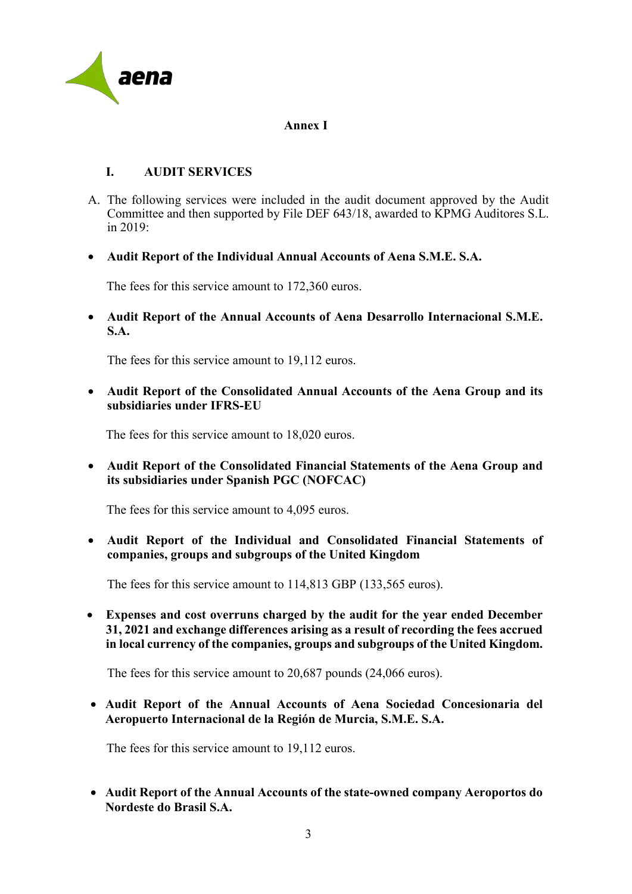

#### **Annex I**

# **I. AUDIT SERVICES**

- A. The following services were included in the audit document approved by the Audit Committee and then supported by File DEF 643/18, awarded to KPMG Auditores S.L. in 2019:
- **Audit Report of the Individual Annual Accounts of Aena S.M.E. S.A.**

The fees for this service amount to 172,360 euros.

• **Audit Report of the Annual Accounts of Aena Desarrollo Internacional S.M.E. S.A.**

The fees for this service amount to 19,112 euros.

• **Audit Report of the Consolidated Annual Accounts of the Aena Group and its subsidiaries under IFRS-EU**

The fees for this service amount to 18,020 euros.

• **Audit Report of the Consolidated Financial Statements of the Aena Group and its subsidiaries under Spanish PGC (NOFCAC)**

The fees for this service amount to 4,095 euros.

• **Audit Report of the Individual and Consolidated Financial Statements of companies, groups and subgroups of the United Kingdom**

The fees for this service amount to 114,813 GBP (133,565 euros).

• **Expenses and cost overruns charged by the audit for the year ended December 31, 2021 and exchange differences arising as a result of recording the fees accrued in local currency of the companies, groups and subgroups of the United Kingdom.**

The fees for this service amount to 20,687 pounds (24,066 euros).

• **Audit Report of the Annual Accounts of Aena Sociedad Concesionaria del Aeropuerto Internacional de la Región de Murcia, S.M.E. S.A.**

The fees for this service amount to 19,112 euros.

• **Audit Report of the Annual Accounts of the state-owned company Aeroportos do Nordeste do Brasil S.A.**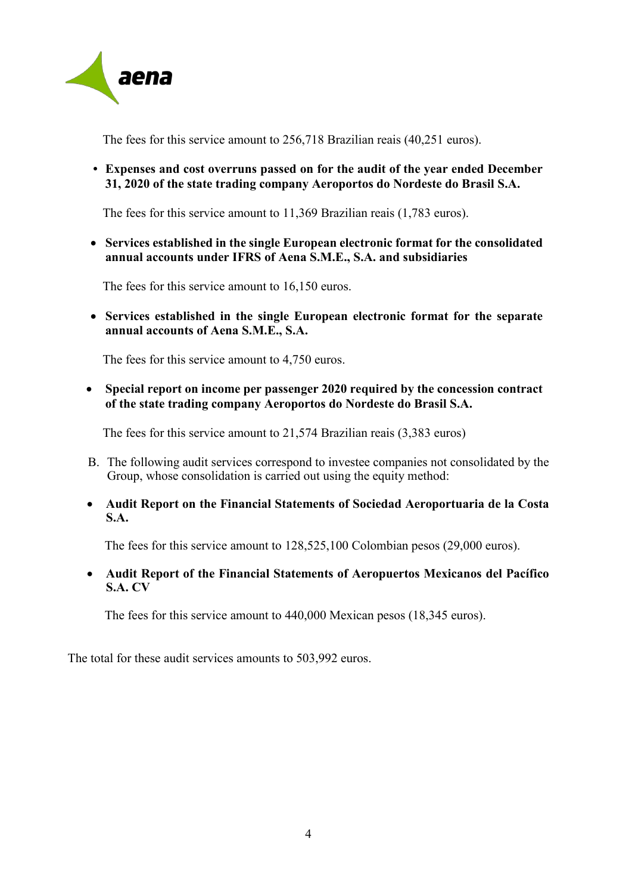

The fees for this service amount to 256,718 Brazilian reais (40,251 euros).

**• Expenses and cost overruns passed on for the audit of the year ended December 31, 2020 of the state trading company Aeroportos do Nordeste do Brasil S.A.**

The fees for this service amount to 11,369 Brazilian reais (1,783 euros).

• **Services established in the single European electronic format for the consolidated annual accounts under IFRS of Aena S.M.E., S.A. and subsidiaries**

The fees for this service amount to 16,150 euros.

• **Services established in the single European electronic format for the separate annual accounts of Aena S.M.E., S.A.** 

The fees for this service amount to 4,750 euros.

• **Special report on income per passenger 2020 required by the concession contract of the state trading company Aeroportos do Nordeste do Brasil S.A.**

The fees for this service amount to 21,574 Brazilian reais (3,383 euros)

- B. The following audit services correspond to investee companies not consolidated by the Group, whose consolidation is carried out using the equity method:
- **Audit Report on the Financial Statements of Sociedad Aeroportuaria de la Costa S.A.**

The fees for this service amount to 128,525,100 Colombian pesos (29,000 euros).

• **Audit Report of the Financial Statements of Aeropuertos Mexicanos del Pacífico S.A. CV**

The fees for this service amount to 440,000 Mexican pesos (18,345 euros).

The total for these audit services amounts to 503,992 euros.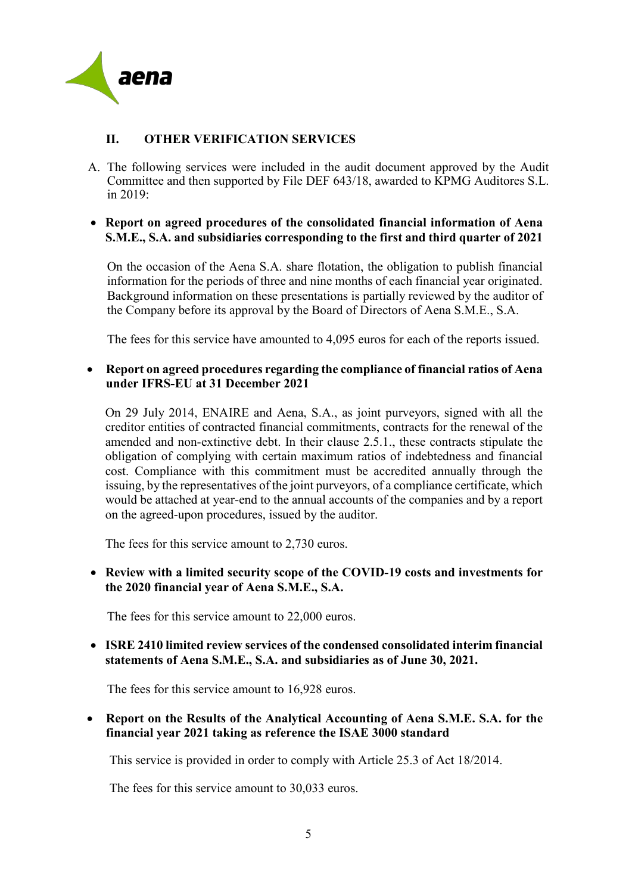

# **II. OTHER VERIFICATION SERVICES**

A. The following services were included in the audit document approved by the Audit Committee and then supported by File DEF 643/18, awarded to KPMG Auditores S.L. in 2019:

# • **Report on agreed procedures of the consolidated financial information of Aena S.M.E., S.A. and subsidiaries corresponding to the first and third quarter of 2021**

On the occasion of the Aena S.A. share flotation, the obligation to publish financial information for the periods of three and nine months of each financial year originated. Background information on these presentations is partially reviewed by the auditor of the Company before its approval by the Board of Directors of Aena S.M.E., S.A.

The fees for this service have amounted to 4,095 euros for each of the reports issued.

### • **Report on agreed procedures regarding the compliance of financial ratios of Aena under IFRS-EU at 31 December 2021**

On 29 July 2014, ENAIRE and Aena, S.A., as joint purveyors, signed with all the creditor entities of contracted financial commitments, contracts for the renewal of the amended and non-extinctive debt. In their clause 2.5.1., these contracts stipulate the obligation of complying with certain maximum ratios of indebtedness and financial cost. Compliance with this commitment must be accredited annually through the issuing, by the representatives of the joint purveyors, of a compliance certificate, which would be attached at year-end to the annual accounts of the companies and by a report on the agreed-upon procedures, issued by the auditor.

The fees for this service amount to 2,730 euros.

• **Review with a limited security scope of the COVID-19 costs and investments for the 2020 financial year of Aena S.M.E., S.A.**

The fees for this service amount to 22,000 euros.

• **ISRE 2410 limited review services of the condensed consolidated interim financial statements of Aena S.M.E., S.A. and subsidiaries as of June 30, 2021.**

The fees for this service amount to 16,928 euros.

# • **Report on the Results of the Analytical Accounting of Aena S.M.E. S.A. for the financial year 2021 taking as reference the ISAE 3000 standard**

This service is provided in order to comply with Article 25.3 of Act 18/2014.

The fees for this service amount to 30,033 euros.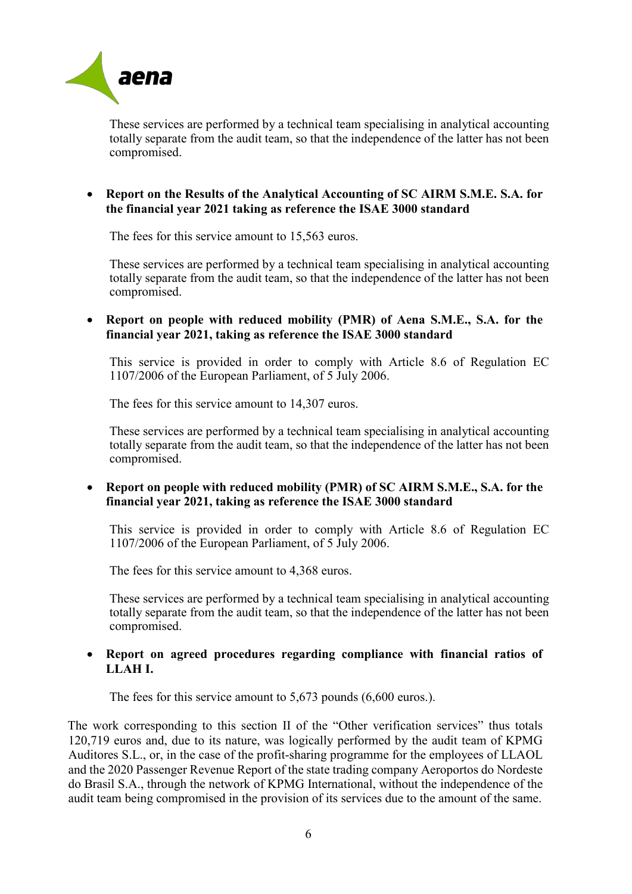

These services are performed by a technical team specialising in analytical accounting totally separate from the audit team, so that the independence of the latter has not been compromised.

# • **Report on the Results of the Analytical Accounting of SC AIRM S.M.E. S.A. for the financial year 2021 taking as reference the ISAE 3000 standard**

The fees for this service amount to 15,563 euros.

These services are performed by a technical team specialising in analytical accounting totally separate from the audit team, so that the independence of the latter has not been compromised.

#### • **Report on people with reduced mobility (PMR) of Aena S.M.E., S.A. for the financial year 2021, taking as reference the ISAE 3000 standard**

This service is provided in order to comply with Article 8.6 of Regulation EC 1107/2006 of the European Parliament, of 5 July 2006.

The fees for this service amount to 14,307 euros.

These services are performed by a technical team specialising in analytical accounting totally separate from the audit team, so that the independence of the latter has not been compromised.

#### • **Report on people with reduced mobility (PMR) of SC AIRM S.M.E., S.A. for the financial year 2021, taking as reference the ISAE 3000 standard**

This service is provided in order to comply with Article 8.6 of Regulation EC 1107/2006 of the European Parliament, of 5 July 2006.

The fees for this service amount to 4,368 euros.

These services are performed by a technical team specialising in analytical accounting totally separate from the audit team, so that the independence of the latter has not been compromised.

### • **Report on agreed procedures regarding compliance with financial ratios of LLAH I.**

The fees for this service amount to 5,673 pounds (6,600 euros.).

The work corresponding to this section II of the "Other verification services" thus totals 120,719 euros and, due to its nature, was logically performed by the audit team of KPMG Auditores S.L., or, in the case of the profit-sharing programme for the employees of LLAOL and the 2020 Passenger Revenue Report of the state trading company Aeroportos do Nordeste do Brasil S.A., through the network of KPMG International, without the independence of the audit team being compromised in the provision of its services due to the amount of the same.